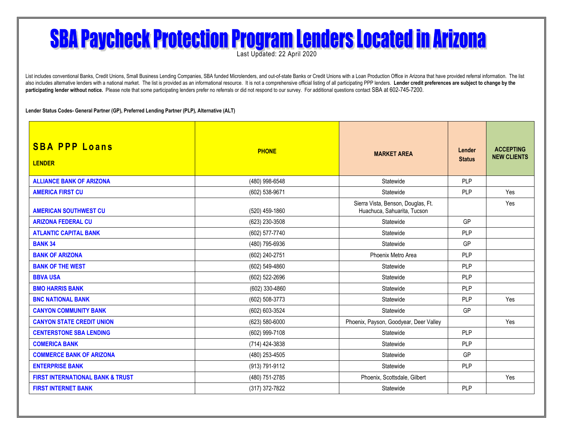## **SBA Paycheck Protection Program Lenders Located in Arizona**

Last Updated: 22 April 2020

List includes conventional Banks, Credit Unions, Small Business Lending Companies, SBA funded Microlenders, and out-of-state Banks or Credit Unions with a Loan Production Office in Arizona that have provided referral infor also includes alternative lenders with a national market. The list is provided as an informational resource. It is not a comprehensive official listing of all participating PPP lenders. Lender credit preferences are subjec participating lender without notice. Please note that some participating lenders prefer no referrals or did not respond to our survey. For additional questions contact SBA at 602-745-7200.

**Lender Status Codes- General Partner (GP), Preferred Lending Partner (PLP), Alternative (ALT)**

| <b>SBA PPP Loans</b><br><b>LENDER</b>       | <b>PHONE</b>   | <b>MARKET AREA</b>                                                | Lender<br><b>Status</b> | <b>ACCEPTING</b><br><b>NEW CLIENTS</b> |
|---------------------------------------------|----------------|-------------------------------------------------------------------|-------------------------|----------------------------------------|
| <b>ALLIANCE BANK OF ARIZONA</b>             | (480) 998-6548 | Statewide                                                         | <b>PLP</b>              |                                        |
| <b>AMERICA FIRST CU</b>                     | (602) 538-9671 | Statewide                                                         | PLP                     | Yes                                    |
| <b>AMERICAN SOUTHWEST CU</b>                | (520) 459-1860 | Sierra Vista, Benson, Douglas, Ft.<br>Huachuca, Sahuarita, Tucson |                         | Yes                                    |
| <b>ARIZONA FEDERAL CU</b>                   | (623) 230-3508 | Statewide                                                         | GP                      |                                        |
| <b>ATLANTIC CAPITAL BANK</b>                | (602) 577-7740 | Statewide                                                         | <b>PLP</b>              |                                        |
| <b>BANK 34</b>                              | (480) 795-6936 | Statewide                                                         | GP                      |                                        |
| <b>BANK OF ARIZONA</b>                      | (602) 240-2751 | Phoenix Metro Area                                                | <b>PLP</b>              |                                        |
| <b>BANK OF THE WEST</b>                     | (602) 549-4860 | Statewide                                                         | <b>PLP</b>              |                                        |
| <b>BBVA USA</b>                             | (602) 522-2696 | Statewide                                                         | <b>PLP</b>              |                                        |
| <b>BMO HARRIS BANK</b>                      | (602) 330-4860 | Statewide                                                         | <b>PLP</b>              |                                        |
| <b>BNC NATIONAL BANK</b>                    | (602) 508-3773 | Statewide                                                         | <b>PLP</b>              | Yes                                    |
| <b>CANYON COMMUNITY BANK</b>                | (602) 603-3524 | Statewide                                                         | GP                      |                                        |
| <b>CANYON STATE CREDIT UNION</b>            | (623) 580-6000 | Phoenix, Payson, Goodyear, Deer Valley                            |                         | Yes                                    |
| <b>CENTERSTONE SBA LENDING</b>              | (602) 999-7108 | Statewide                                                         | PLP                     |                                        |
| <b>COMERICA BANK</b>                        | (714) 424-3838 | Statewide                                                         | PLP                     |                                        |
| <b>COMMERCE BANK OF ARIZONA</b>             | (480) 253-4505 | Statewide                                                         | GP                      |                                        |
| <b>ENTERPRISE BANK</b>                      | (913) 791-9112 | Statewide                                                         | <b>PLP</b>              |                                        |
| <b>FIRST INTERNATIONAL BANK &amp; TRUST</b> | (480) 751-2785 | Phoenix, Scottsdale, Gilbert                                      |                         | Yes                                    |
| <b>FIRST INTERNET BANK</b>                  | (317) 372-7822 | Statewide                                                         | PLP                     |                                        |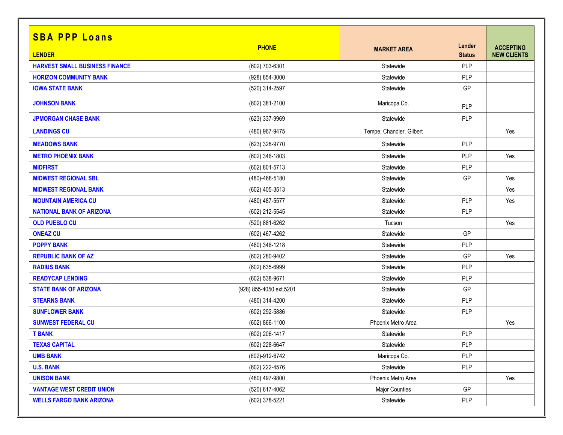| <b>SBA PPP Loans</b>                  |                         |                          |                         |                                        |
|---------------------------------------|-------------------------|--------------------------|-------------------------|----------------------------------------|
| <b>LENDER</b>                         | <b>PHONE</b>            | <b>MARKET AREA</b>       | Lender<br><b>Status</b> | <b>ACCEPTING</b><br><b>NEW CLIENTS</b> |
| <b>HARVEST SMALL BUSINESS FINANCE</b> | (602) 703-6301          | Statewide                | PLP                     |                                        |
| <b>HORIZON COMMUNITY BANK</b>         | (928) 854-3000          | Statewide                | PLP                     |                                        |
| <b>IOWA STATE BANK</b>                | (520) 314-2597          | Statewide                | GP                      |                                        |
| <b>JOHNSON BANK</b>                   | (602) 381-2100          | Maricopa Co.             | PLP                     |                                        |
| <b>JPMORGAN CHASE BANK</b>            | (623) 337-9969          | Statewide                | PLP                     |                                        |
| <b>LANDINGS CU</b>                    | (480) 967-9475          | Tempe, Chandler, Gilbert |                         | Yes                                    |
| <b>MEADOWS BANK</b>                   | (623) 328-9770          | Statewide                | PLP                     |                                        |
| <b>METRO PHOENIX BANK</b>             | (602) 346-1803          | Statewide                | PLP                     | Yes                                    |
| <b>MIDFIRST</b>                       | (602) 801-5713          | Statewide                | PLP                     |                                        |
| <b>MIDWEST REGIONAL SBL</b>           | (480)-468-5180          | Statewide                | GP                      | Yes                                    |
| <b>MIDWEST REGIONAL BANK</b>          | (602) 405-3513          | Statewide                |                         | Yes                                    |
| <b>MOUNTAIN AMERICA CU</b>            | (480) 487-5577          | Statewide                | PLP                     | Yes                                    |
| <b>NATIONAL BANK OF ARIZONA</b>       | (602) 212-5545          | Statewide                | <b>PLP</b>              |                                        |
| <b>OLD PUEBLO CU</b>                  | (520) 881-6262          | Tucson                   |                         | Yes                                    |
| <b>ONEAZ CU</b>                       | (602) 467-4262          | Statewide                | GP                      |                                        |
| <b>POPPY BANK</b>                     | (480) 346-1218          | Statewide                | PLP                     |                                        |
| <b>REPUBLIC BANK OF AZ</b>            | (602) 280-9402          | Statewide                | GP                      | Yes                                    |
| <b>RADIUS BANK</b>                    | (602) 635-6999          | Statewide                | PLP                     |                                        |
| <b>READYCAP LENDING</b>               | (602) 538-9671          | Statewide                | PLP                     |                                        |
| <b>STATE BANK OF ARIZONA</b>          | (928) 855-4050 ext.5201 | Statewide                | GP                      |                                        |
| <b>STEARNS BANK</b>                   | (480) 314-4200          | Statewide                | PLP                     |                                        |
| <b>SUNFLOWER BANK</b>                 | (602) 292-5886          | Statewide                | PLP                     |                                        |
| <b>SUNWEST FEDERAL CU</b>             | (602) 866-1100          | Phoenix Metro Area       |                         | Yes                                    |
| <b>T BANK</b>                         | (602) 206-1417          | Statewide                | PLP                     |                                        |
| <b>TEXAS CAPITAL</b>                  | (602) 228-6647          | Statewide                | <b>PLP</b>              |                                        |
| <b>UMB BANK</b>                       | (602)-912-6742          | Maricopa Co.             | <b>PLP</b>              |                                        |
| <b>U.S. BANK</b>                      | (602) 222-4576          | Statewide                | <b>PLP</b>              |                                        |
| <b>UNISON BANK</b>                    | (480) 497-9800          | Phoenix Metro Area       |                         | Yes                                    |
| <b>VANTAGE WEST CREDIT UNION</b>      | (520) 617-4062          | <b>Major Counties</b>    | GP                      |                                        |
| <b>WELLS FARGO BANK ARIZONA</b>       | (602) 378-5221          | Statewide                | <b>PLP</b>              |                                        |